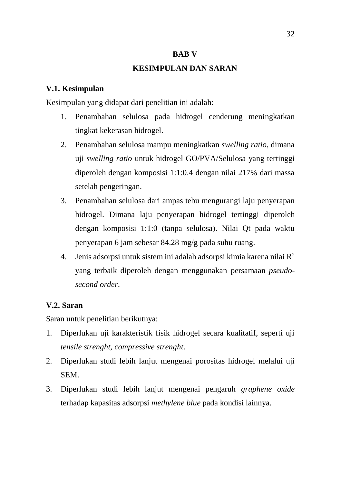#### **BAB V**

### **KESIMPULAN DAN SARAN**

### **V.1. Kesimpulan**

Kesimpulan yang didapat dari penelitian ini adalah:

- 1. Penambahan selulosa pada hidrogel cenderung meningkatkan tingkat kekerasan hidrogel.
- 2. Penambahan selulosa mampu meningkatkan *swelling ratio*, dimana uji *swelling ratio* untuk hidrogel GO/PVA/Selulosa yang tertinggi diperoleh dengan komposisi 1:1:0.4 dengan nilai 217% dari massa setelah pengeringan.
- 3. Penambahan selulosa dari ampas tebu mengurangi laju penyerapan hidrogel. Dimana laju penyerapan hidrogel tertinggi diperoleh dengan komposisi 1:1:0 (tanpa selulosa). Nilai Qt pada waktu penyerapan 6 jam sebesar 84.28 mg/g pada suhu ruang.
- 4. Jenis adsorpsi untuk sistem ini adalah adsorpsi kimia karena nilai R<sup>2</sup> yang terbaik diperoleh dengan menggunakan persamaan *pseudosecond order*.

# **V.2. Saran**

Saran untuk penelitian berikutnya:

- 1. Diperlukan uji karakteristik fisik hidrogel secara kualitatif, seperti uji *tensile strenght*, *compressive strenght*.
- 2. Diperlukan studi lebih lanjut mengenai porositas hidrogel melalui uji SEM.
- 3. Diperlukan studi lebih lanjut mengenai pengaruh *graphene oxide*  terhadap kapasitas adsorpsi *methylene blue* pada kondisi lainnya.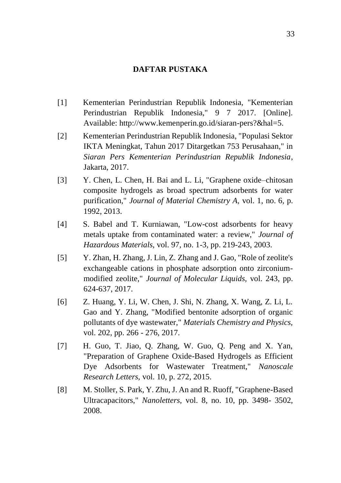# **DAFTAR PUSTAKA**

- [1] Kementerian Perindustrian Republik Indonesia, "Kementerian Perindustrian Republik Indonesia," 9 7 2017. [Online]. Available: http://www.kemenperin.go.id/siaran-pers?&hal=5.
- [2] Kementerian Perindustrian Republik Indonesia, "Populasi Sektor IKTA Meningkat, Tahun 2017 Ditargetkan 753 Perusahaan," in *Siaran Pers Kementerian Perindustrian Republik Indonesia*, Jakarta, 2017.
- [3] Y. Chen, L. Chen, H. Bai and L. Li, "Graphene oxide–chitosan composite hydrogels as broad spectrum adsorbents for water purification," *Journal of Material Chemistry A,* vol. 1, no. 6, p. 1992, 2013.
- [4] S. Babel and T. Kurniawan, "Low-cost adsorbents for heavy metals uptake from contaminated water: a review," *Journal of Hazardous Materials,* vol. 97, no. 1-3, pp. 219-243, 2003.
- [5] Y. Zhan, H. Zhang, J. Lin, Z. Zhang and J. Gao, "Role of zeolite's exchangeable cations in phosphate adsorption onto zirconiummodified zeolite," *Journal of Molecular Liquids,* vol. 243, pp. 624-637, 2017.
- [6] Z. Huang, Y. Li, W. Chen, J. Shi, N. Zhang, X. Wang, Z. Li, L. Gao and Y. Zhang, "Modified bentonite adsorption of organic pollutants of dye wastewater," *Materials Chemistry and Physics,*  vol. 202, pp. 266 - 276, 2017.
- [7] H. Guo, T. Jiao, Q. Zhang, W. Guo, Q. Peng and X. Yan, "Preparation of Graphene Oxide-Based Hydrogels as Efficient Dye Adsorbents for Wastewater Treatment," *Nanoscale Research Letters,* vol. 10, p. 272, 2015.
- [8] M. Stoller, S. Park, Y. Zhu, J. An and R. Ruoff, "Graphene-Based Ultracapacitors," *Nanoletters,* vol. 8, no. 10, pp. 3498- 3502, 2008.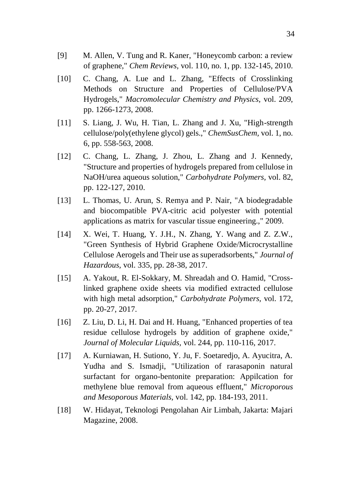- [9] M. Allen, V. Tung and R. Kaner, "Honeycomb carbon: a review of graphene," *Chem Reviews,* vol. 110, no. 1, pp. 132-145, 2010.
- [10] C. Chang, A. Lue and L. Zhang, "Effects of Crosslinking Methods on Structure and Properties of Cellulose/PVA Hydrogels," *Macromolecular Chemistry and Physics,* vol. 209, pp. 1266-1273, 2008.
- [11] S. Liang, J. Wu, H. Tian, L. Zhang and J. Xu, "High-strength cellulose/poly(ethylene glycol) gels.," *ChemSusChem,* vol. 1, no. 6, pp. 558-563, 2008.
- [12] C. Chang, L. Zhang, J. Zhou, L. Zhang and J. Kennedy, "Structure and properties of hydrogels prepared from cellulose in NaOH/urea aqueous solution," *Carbohydrate Polymers,* vol. 82, pp. 122-127, 2010.
- [13] L. Thomas, U. Arun, S. Remya and P. Nair, "A biodegradable and biocompatible PVA-citric acid polyester with potential applications as matrix for vascular tissue engineering.," 2009.
- [14] X. Wei, T. Huang, Y. J.H., N. Zhang, Y. Wang and Z. Z.W., "Green Synthesis of Hybrid Graphene Oxide/Microcrystalline Cellulose Aerogels and Their use as superadsorbents," *Journal of Hazardous,* vol. 335, pp. 28-38, 2017.
- [15] A. Yakout, R. El-Sokkary, M. Shreadah and O. Hamid, "Crosslinked graphene oxide sheets via modified extracted cellulose with high metal adsorption," *Carbohydrate Polymers,* vol. 172, pp. 20-27, 2017.
- [16] Z. Liu, D. Li, H. Dai and H. Huang, "Enhanced properties of tea residue cellulose hydrogels by addition of graphene oxide," *Journal of Molecular Liquids,* vol. 244, pp. 110-116, 2017.
- [17] A. Kurniawan, H. Sutiono, Y. Ju, F. Soetaredjo, A. Ayucitra, A. Yudha and S. Ismadji, "Utilization of rarasaponin natural surfactant for organo-bentonite preparation: Appilcation for methylene blue removal from aqueous effluent," *Microporous and Mesoporous Materials,* vol. 142, pp. 184-193, 2011.
- [18] W. Hidayat, Teknologi Pengolahan Air Limbah, Jakarta: Majari Magazine, 2008.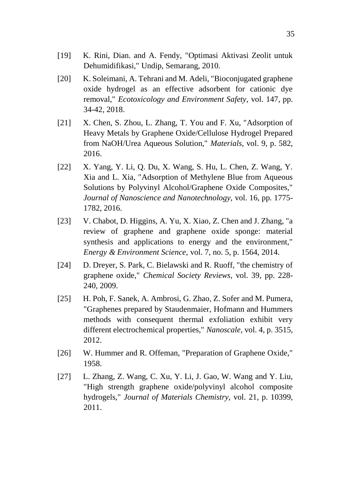- [19] K. Rini, Dian. and A. Fendy, "Optimasi Aktivasi Zeolit untuk Dehumidifikasi," Undip, Semarang, 2010.
- [20] K. Soleimani, A. Tehrani and M. Adeli, "Bioconjugated graphene" oxide hydrogel as an effective adsorbent for cationic dye removal," *Ecotoxicology and Environment Safety,* vol. 147, pp. 34-42, 2018.
- [21] X. Chen, S. Zhou, L. Zhang, T. You and F. Xu, "Adsorption of Heavy Metals by Graphene Oxide/Cellulose Hydrogel Prepared from NaOH/Urea Aqueous Solution," *Materials,* vol. 9, p. 582, 2016.
- [22] X. Yang, Y. Li, Q. Du, X. Wang, S. Hu, L. Chen, Z. Wang, Y. Xia and L. Xia, "Adsorption of Methylene Blue from Aqueous Solutions by Polyvinyl Alcohol/Graphene Oxide Composites," *Journal of Nanoscience and Nanotechnology,* vol. 16, pp. 1775- 1782, 2016.
- [23] V. Chabot, D. Higgins, A. Yu, X. Xiao, Z. Chen and J. Zhang, "a review of graphene and graphene oxide sponge: material synthesis and applications to energy and the environment," *Energy & Environment Science,* vol. 7, no. 5, p. 1564, 2014.
- [24] D. Dreyer, S. Park, C. Bielawski and R. Ruoff, "the chemistry of graphene oxide," *Chemical Society Reviews,* vol. 39, pp. 228- 240, 2009.
- [25] H. Poh, F. Sanek, A. Ambrosi, G. Zhao, Z. Sofer and M. Pumera, "Graphenes prepared by Staudenmaier, Hofmann and Hummers methods with consequent thermal exfoliation exhibit very different electrochemical properties," *Nanoscale,* vol. 4, p. 3515, 2012.
- [26] W. Hummer and R. Offeman, "Preparation of Graphene Oxide," 1958.
- [27] L. Zhang, Z. Wang, C. Xu, Y. Li, J. Gao, W. Wang and Y. Liu, "High strength graphene oxide/polyvinyl alcohol composite hydrogels," *Journal of Materials Chemistry,* vol. 21, p. 10399, 2011.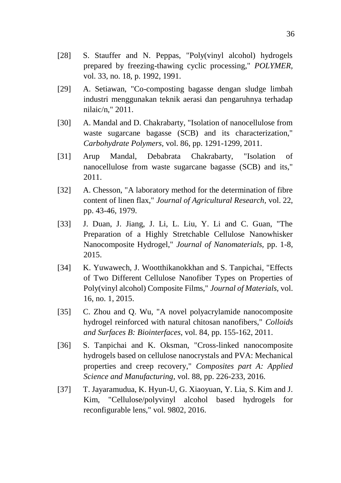- [28] S. Stauffer and N. Peppas, "Poly(vinyl alcohol) hydrogels prepared by freezing-thawing cyclic processing," *POLYMER,*  vol. 33, no. 18, p. 1992, 1991.
- [29] A. Setiawan, "Co-composting bagasse dengan sludge limbah industri menggunakan teknik aerasi dan pengaruhnya terhadap nilaic/n," 2011.
- [30] A. Mandal and D. Chakrabarty, "Isolation of nanocellulose from waste sugarcane bagasse (SCB) and its characterization," *Carbohydrate Polymers,* vol. 86, pp. 1291-1299, 2011.
- [31] Arup Mandal, Debabrata Chakrabarty, "Isolation of nanocellulose from waste sugarcane bagasse (SCB) and its," 2011.
- [32] A. Chesson, "A laboratory method for the determination of fibre content of linen flax," *Journal of Agricultural Research,* vol. 22, pp. 43-46, 1979.
- [33] J. Duan, J. Jiang, J. Li, L. Liu, Y. Li and C. Guan, "The Preparation of a Highly Stretchable Cellulose Nanowhisker Nanocomposite Hydrogel," *Journal of Nanomaterials,* pp. 1-8, 2015.
- [34] K. Yuwawech, J. Wootthikanokkhan and S. Tanpichai, "Effects" of Two Different Cellulose Nanofiber Types on Properties of Poly(vinyl alcohol) Composite Films," *Journal of Materials,* vol. 16, no. 1, 2015.
- [35] C. Zhou and Q. Wu, "A novel polyacrylamide nanocomposite hydrogel reinforced with natural chitosan nanofibers," *Colloids and Surfaces B: Biointerfaces,* vol. 84, pp. 155-162, 2011.
- [36] S. Tanpichai and K. Oksman, "Cross-linked nanocomposite hydrogels based on cellulose nanocrystals and PVA: Mechanical properties and creep recovery," *Composites part A: Applied Science and Manufacturing,* vol. 88, pp. 226-233, 2016.
- [37] T. Jayaramudua, K. Hyun-U, G. Xiaoyuan, Y. Lia, S. Kim and J. Kim, "Cellulose/polyvinyl alcohol based hydrogels for reconfigurable lens," vol. 9802, 2016.